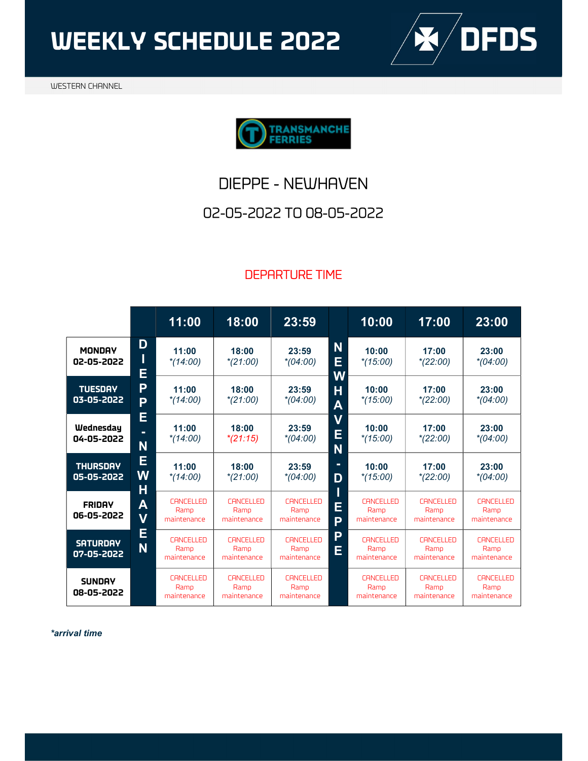WEEKLY SCHEDULE 2022





### 02-05-2022 TO 08-05-2022

#### DEPARTURE TIME

|                               |                                         | 11:00                                   | 18:00                                   | 23:59                                   |                              | 10:00                                   | 17:00                                   | 23:00                                   |
|-------------------------------|-----------------------------------------|-----------------------------------------|-----------------------------------------|-----------------------------------------|------------------------------|-----------------------------------------|-----------------------------------------|-----------------------------------------|
| <b>MONDAY</b><br>02-05-2022   | D<br>I<br>E                             | 11:00<br>$*(14:00)$                     | 18:00<br>$*(21:00)$                     | 23:59<br>$*(04:00)$                     | N<br>E<br>W                  | 10:00<br>$*(15:00)$                     | 17:00<br>$*(22:00)$                     | 23:00<br>$*(04:00)$                     |
| <b>TUESDAY</b><br>03-05-2022  | P<br>P<br>E                             | 11:00<br>$*(14:00)$                     | 18:00<br>$*(21:00)$                     | 23:59<br>$*(04:00)$                     | H<br>$\overline{\mathsf{A}}$ | 10:00<br>$*(15:00)$                     | 17:00<br>$*(22:00)$                     | 23:00<br>$*(04:00)$                     |
| Wednesday<br>04-05-2022       | $\blacksquare$<br>N                     | 11:00<br>$*(14:00)$                     | 18:00<br>$*(21:15)$                     | 23:59<br>$*(04:00)$                     | $\boldsymbol{V}$<br>E<br>N   | 10:00<br>$*(15:00)$                     | 17:00<br>$*(22:00)$                     | 23:00<br>$*(04:00)$                     |
| <b>THURSDAY</b><br>05-05-2022 | E<br>W<br>H                             | 11:00<br>$*(14:00)$                     | 18:00<br>$*(21:00)$                     | 23:59<br>$*(04:00)$                     | ٠<br>D                       | 10:00<br>$*(15:00)$                     | 17:00<br>$*(22:00)$                     | 23:00<br>$*(04:00)$                     |
| <b>FRIDAY</b><br>06-05-2022   | $\overline{\mathsf{A}}$<br>$\mathsf{V}$ | <b>CANCELLED</b><br>Ramp<br>maintenance | <b>CANCELLED</b><br>Ramp<br>maintenance | <b>CANCELLED</b><br>Ramp<br>maintenance | E<br>P                       | <b>CANCELLED</b><br>Ramp<br>maintenance | <b>CANCELLED</b><br>Ramp<br>maintenance | <b>CANCELLED</b><br>Ramp<br>maintenance |
| <b>SATURDAY</b><br>07-05-2022 | E<br>N                                  | <b>CANCELLED</b><br>Ramp<br>maintenance | <b>CANCELLED</b><br>Ramp<br>maintenance | <b>CANCELLED</b><br>Ramp<br>maintenance | P<br>E                       | <b>CANCELLED</b><br>Ramp<br>maintenance | <b>CANCELLED</b><br>Ramp<br>maintenance | <b>CANCELLED</b><br>Ramp<br>maintenance |
| <b>SUNDAY</b><br>08-05-2022   |                                         | <b>CANCELLED</b><br>Ramp<br>maintenance | <b>CANCELLED</b><br>Ramp<br>maintenance | <b>CANCELLED</b><br>Ramp<br>maintenance |                              | <b>CANCELLED</b><br>Ramp<br>maintenance | <b>CANCELLED</b><br>Ramp<br>maintenance | <b>CANCELLED</b><br>Ramp<br>maintenance |

\*arrival time